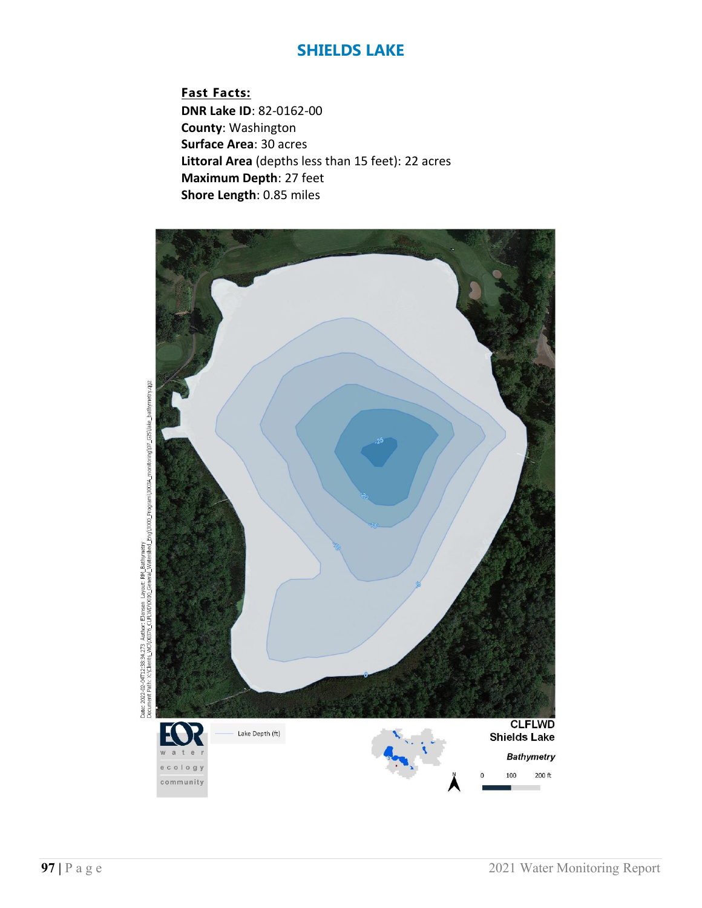**Fast Facts: DNR Lake ID**: 82-0162-00 **County**: Washington **Surface Area**: 30 acres **Littoral Area** (depths less than 15 feet): 22 acres **Maximum Depth**: 27 feet **Shore Length**: 0.85 miles



Date: 2022-02-04T12:3834.273 Author: Elensen Layout: RM\_Bathymetry<br>Document Patr: X:(Clients\_WD)00376\_CLFUWD)0010\_General\_Watershed\_Eng(3000\_Program)30034\_monitoring)07\_GIS\lake\_bathy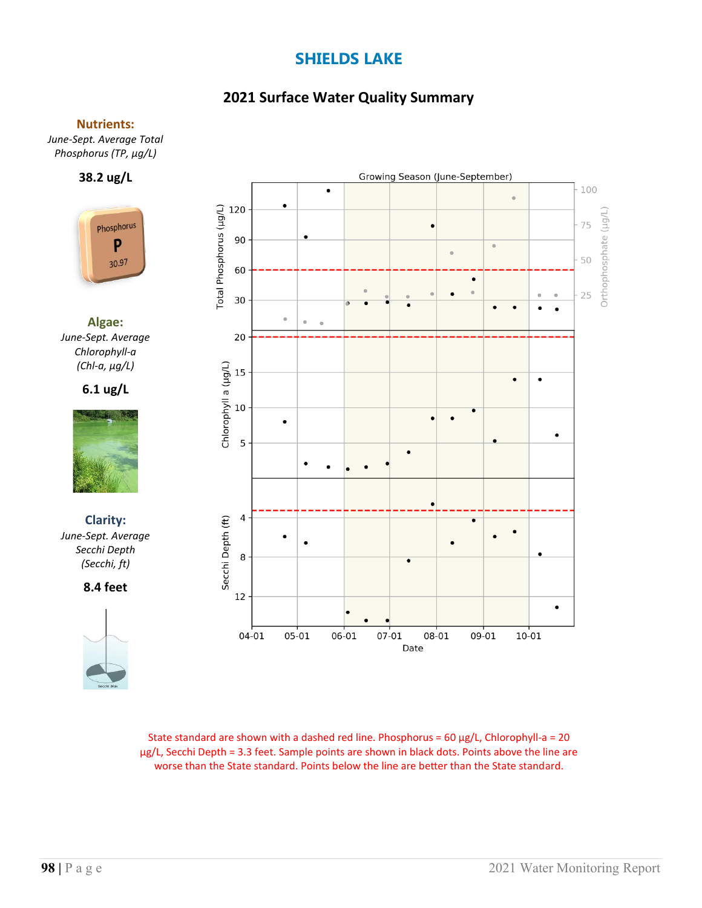### **2021 Surface Water Quality Summary**

#### **Nutrients:**

*June-Sept. Average Total Phosphorus (TP, µg/L)*

### **38.2 ug/L**



**Algae:** *June-Sept. Average Chlorophyll-a (Chl-a, µg/L)*

### **6.1 ug/L**



**Clarity:**  *June-Sept. Average Secchi Depth (Secchi, ft)*

**8.4 feet**





State standard are shown with a dashed red line. Phosphorus =  $60 \mu g/L$ , Chlorophyll-a =  $20$ µg/L, Secchi Depth = 3.3 feet. Sample points are shown in black dots. Points above the line are worse than the State standard. Points below the line are better than the State standard.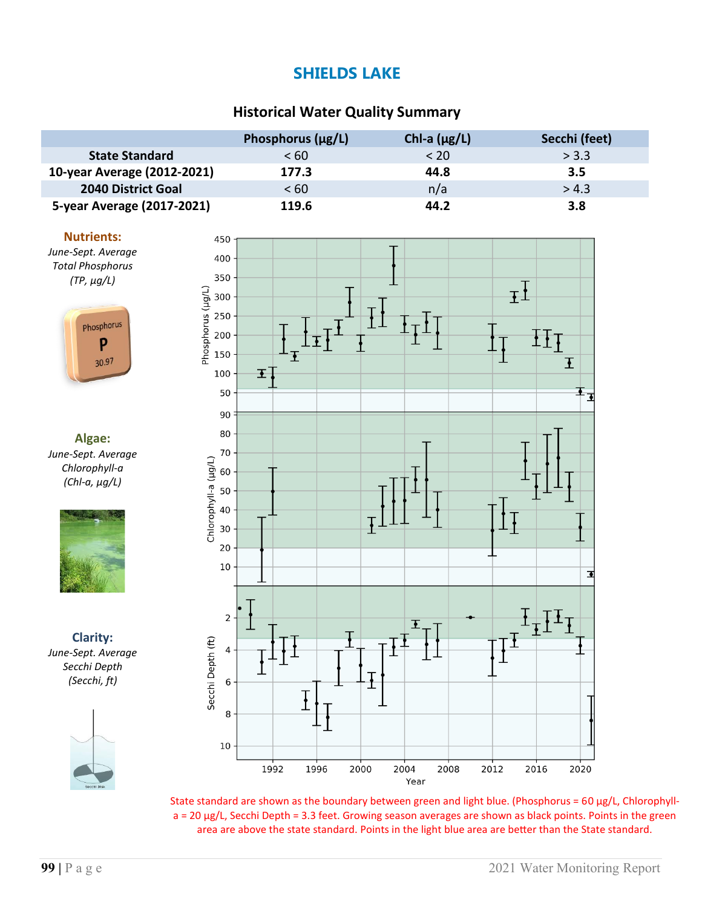### **Historical Water Quality Summary**

|                             | Phosphorus (µg/L) | Chl-a $(\mu g/L)$ | Secchi (feet) |
|-----------------------------|-------------------|-------------------|---------------|
| <b>State Standard</b>       | < 60              | < 20              | > 3.3         |
| 10-year Average (2012-2021) | 177.3             | 44.8              | 3.5           |
| 2040 District Goal          | < 60              | n/a               | > 4.3         |
| 5-year Average (2017-2021)  | 119.6             | 44.2              | 3.8           |



*June-Sept. Average Total Phosphorus (TP, µg/L)*



**Algae:** *June-Sept. Average Chlorophyll-a (Chl-a, µg/L)*



**Clarity:** *June-Sept. Average Secchi Depth (Secchi, ft)*





State standard are shown as the boundary between green and light blue. (Phosphorus =  $60 \mu g/L$ , Chlorophylla = 20 µg/L, Secchi Depth = 3.3 feet. Growing season averages are shown as black points. Points in the green area are above the state standard. Points in the light blue area are better than the State standard.